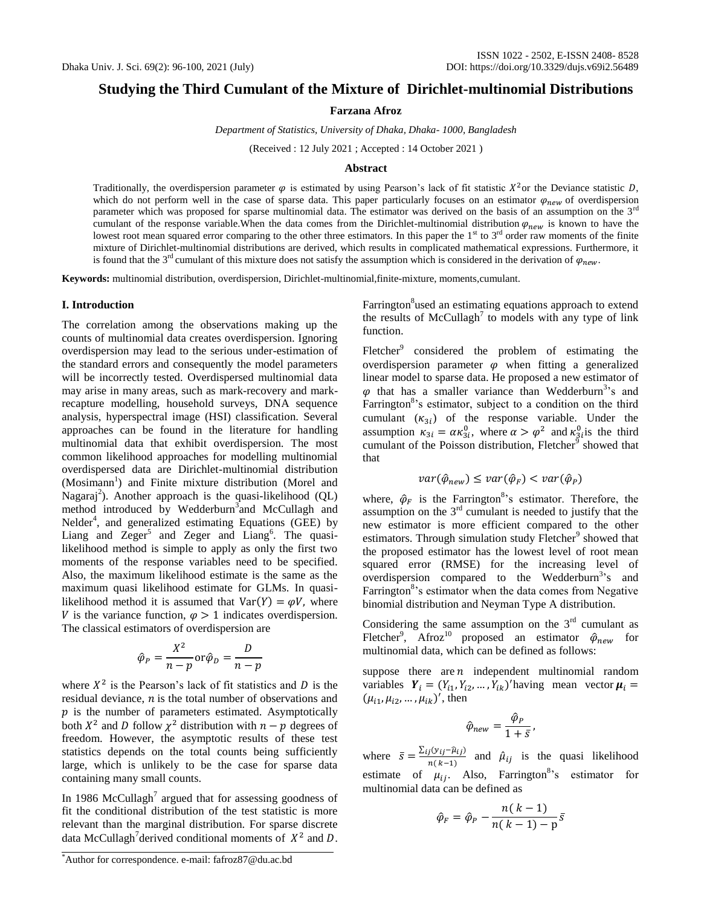## **Studying the Third Cumulant of the Mixture of Dirichlet-multinomial Distributions**

**Farzana Afroz**

*Department of Statistics, University of Dhaka, Dhaka- 1000, Bangladesh*

(Received : 12 July 2021 ; Accepted : 14 October 2021 )

#### **Abstract**

Traditionally, the overdispersion parameter  $\varphi$  is estimated by using Pearson's lack of fit statistic  $X^2$ or the Deviance statistic D, which do not perform well in the case of sparse data. This paper particularly focuses on an estimator  $\varphi_{new}$  of overdispersion parameter which was proposed for sparse multinomial data. The estimator was derived on the basis of an assumption on the  $3^{rd}$ cumulant of the response variable. When the data comes from the Dirichlet-multinomial distribution  $\varphi_{new}$  is known to have the lowest root mean squared error comparing to the other three estimators. In this paper the  $1<sup>st</sup>$  to  $3<sup>rd</sup>$  order raw moments of the finite mixture of Dirichlet-multinomial distributions are derived, which results in complicated mathematical expressions. Furthermore, it is found that the 3<sup>rd</sup> cumulant of this mixture does not satisfy the assumption which is considered in the derivation of  $\varphi_{new}$ .

**Keywords:** multinomial distribution, overdispersion, Dirichlet-multinomial,finite-mixture, moments,cumulant.

#### **I. Introduction**

The correlation among the observations making up the counts of multinomial data creates overdispersion. Ignoring overdispersion may lead to the serious under-estimation of the standard errors and consequently the model parameters will be incorrectly tested. Overdispersed multinomial data may arise in many areas, such as mark-recovery and markrecapture modelling, household surveys, DNA sequence analysis, hyperspectral image (HSI) classification. Several approaches can be found in the literature for handling multinomial data that exhibit overdispersion. The most common likelihood approaches for modelling multinomial overdispersed data are Dirichlet-multinomial distribution (Mosimann<sup>1</sup>) and Finite mixture distribution (Morel and Nagaraj<sup>2</sup>). Another approach is the quasi-likelihood (QL) method introduced by Wedderburn<sup>3</sup> and McCullagh and Nelder<sup>4</sup>, and generalized estimating Equations (GEE) by Liang and  $Zeger^5$  and  $Zeger$  and  $Liang^6$ . The quasilikelihood method is simple to apply as only the first two moments of the response variables need to be specified. Also, the maximum likelihood estimate is the same as the maximum quasi likelihood estimate for GLMs. In quasilikelihood method it is assumed that  $Var(Y) = \varphi V$ , where V is the variance function,  $\varphi > 1$  indicates overdispersion. The classical estimators of overdispersion are

$$
\hat{\varphi}_P = \frac{X^2}{n-p} \operatorname{or} \hat{\varphi}_D = \frac{D}{n-p}
$$

where  $X^2$  is the Pearson's lack of fit statistics and D is the residual deviance,  $n$  is the total number of observations and  $p$  is the number of parameters estimated. Asymptotically both  $X^2$  and D follow  $\chi^2$  distribution with  $n - p$  degrees of freedom. However, the asymptotic results of these test statistics depends on the total counts being sufficiently large, which is unlikely to be the case for sparse data containing many small counts.

In 1986 McCullagh<sup>7</sup> argued that for assessing goodness of fit the conditional distribution of the test statistic is more relevant than the marginal distribution. For sparse discrete data McCullagh<sup>7</sup> derived conditional moments of  $X^2$  and D.

Farrington<sup>8</sup>used an estimating equations approach to extend the results of  $McCullagh^7$  to models with any type of link function.

Fletcher<sup>9</sup> considered the problem of estimating the overdispersion parameter  $\varphi$  when fitting a generalized linear model to sparse data. He proposed a new estimator of  $\varphi$  that has a smaller variance than Wedderburn<sup>3</sup>'s and Farrington<sup>8</sup>'s estimator, subject to a condition on the third cumulant  $(\kappa_{3i})$  of the response variable. Under the assumption  $\kappa_{3i} = \alpha \kappa_{3i}^0$ , where  $\alpha > \varphi^2$  and  $\kappa_{3i}^0$  is the third cumulant of the Poisson distribution, Fletcher $\sigma$  showed that that

$$
var(\hat{\varphi}_{new}) \le var(\hat{\varphi}_F) < var(\hat{\varphi}_P)
$$

where,  $\hat{\varphi}_F$  is the Farrington<sup>8</sup>'s estimator. Therefore, the assumption on the  $3<sup>rd</sup>$  cumulant is needed to justify that the new estimator is more efficient compared to the other estimators. Through simulation study Fletcher<sup>9</sup> showed that the proposed estimator has the lowest level of root mean squared error (RMSE) for the increasing level of overdispersion compared to the Wedderburn<sup>3</sup>'s and Farrington<sup>8</sup>'s estimator when the data comes from Negative binomial distribution and Neyman Type A distribution.

Considering the same assumption on the  $3<sup>rd</sup>$  cumulant as Fletcher<sup>9</sup>, Afroz<sup>10</sup> proposed an estimator  $\hat{\varphi}_{new}$  for multinomial data, which can be defined as follows:

suppose there are  $n$  independent multinomial random variables  $Y_i = (Y_{i1}, Y_{i2}, ..., Y_{ik})'$  having mean vector  $\mu$  $(\mu_{i1}, \mu_{i2}, ..., \mu_{ik})'$ , then

$$
\hat{\varphi}_{new} = \frac{\hat{\varphi}_P}{1 + \bar{s}},
$$

where  $\bar{s} = \frac{\sum_{ij} (y_{ij} - \hat{\mu}_{ij})}{n(h, 1)}$  $\frac{\hat{\mu}(y_i - \mu_i)}{n(k-1)}$  and  $\hat{\mu}_{ij}$  is the quasi likelihood estimate of  $\mu_{ij}$ . Also, Farrington<sup>8</sup>'s estimator for multinomial data can be defined as

$$
\hat{\varphi}_F = \hat{\varphi}_P - \frac{n(k-1)}{n(k-1) - p} \bar{s}
$$

<sup>\*</sup>Author for correspondence. e-mail: fafroz87@du.ac.bd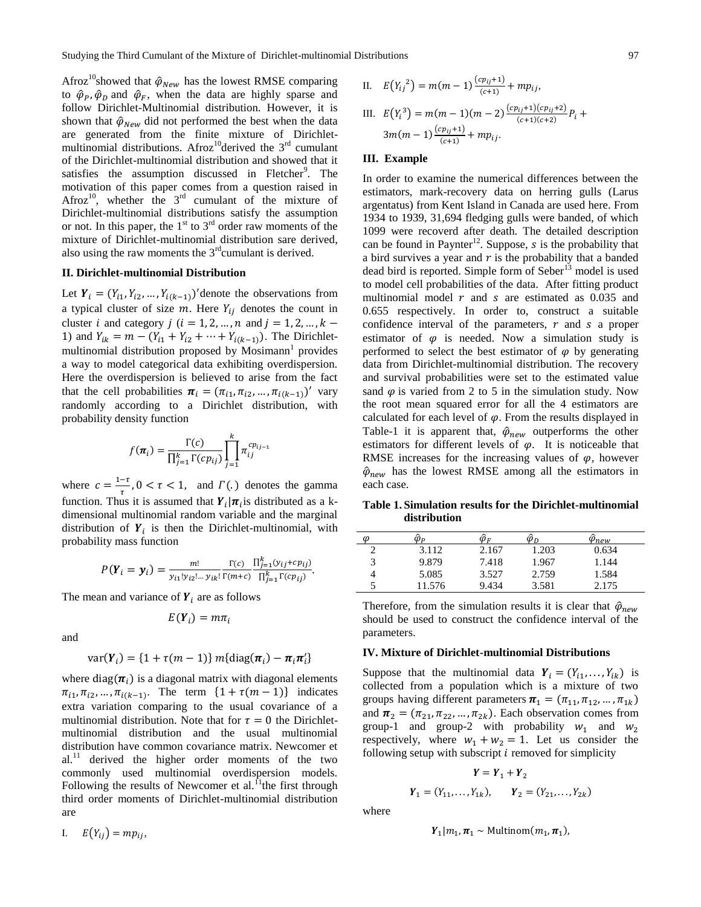Afroz<sup>10</sup>showed that  $\hat{\varphi}_{New}$  has the lowest RMSE comparing to  $\hat{\varphi}_P$ ,  $\hat{\varphi}_D$  and  $\hat{\varphi}_F$ , when the data are highly sparse and follow Dirichlet-Multinomial distribution. However, it is shown that  $\hat{\varphi}_{New}$  did not performed the best when the data are generated from the finite mixture of Dirichletmultinomial distributions. Afroz<sup>10</sup>derived the  $3<sup>rd</sup>$  cumulant of the Dirichlet-multinomial distribution and showed that it satisfies the assumption discussed in Fletcher<sup>9</sup>. The motivation of this paper comes from a question raised in Afroz<sup>10</sup>, whether the  $3<sup>rd</sup>$  cumulant of the mixture of Dirichlet-multinomial distributions satisfy the assumption or not. In this paper, the  $1<sup>st</sup>$  to  $3<sup>rd</sup>$  order raw moments of the mixture of Dirichlet-multinomial distribution sare derived, also using the raw moments the  $3<sup>rd</sup>$ cumulant is derived.

## **II. Dirichlet-multinomial Distribution**

Let  $Y_i = (Y_{i1}, Y_{i2}, \dots, Y_{i(k-1)})'$  denote the observations from a typical cluster of size  $m$ . Here  $Y_{ij}$  denotes the count in cluster i and category  $j$  ( $i = 1, 2, ..., n$  and  $j = 1, 2, ..., k$ 1) and  $Y_{ik} = m - (Y_{i1} + Y_{i2} + \cdots + Y_{i(k-1)})$ . The Dirichletmultinomial distribution proposed by  $M$ osimann<sup>1</sup> provides a way to model categorical data exhibiting overdispersion. Here the overdispersion is believed to arise from the fact that the cell probabilities  $\boldsymbol{\pi}_i = (\pi_{i1}, \pi_{i2}, \dots, \pi_{i(k-1)})'$  vary randomly according to a Dirichlet distribution, with probability density function

$$
f(\boldsymbol{\pi}_i) = \frac{\Gamma(c)}{\prod_{j=1}^k \Gamma(c p_{ij})} \prod_{j=1}^k \pi_{ij}^{cp_{ij}}
$$

where  $c = \frac{1}{2}$  $\frac{-\tau}{\tau}$ ,  $0 < \tau < 1$ , and  $\Gamma(\tau)$  denotes the gamma function. Thus it is assumed that  $Y_i | \pi_i$  is distributed as a kdimensional multinomial random variable and the marginal distribution of  $Y_i$  is then the Dirichlet-multinomial, with probability mass function

$$
P(Y_i = y_i) = \frac{m!}{y_{i1}! y_{i2}! \dots y_{ik}!} \frac{\Gamma(c)}{\Gamma(m+c)} \frac{\prod_{j=1}^k (y_{ij} + c p_{ij})}{\prod_{j=1}^k \Gamma(c p_{ij})}.
$$

The mean and variance of  $Y_i$  are as follows

$$
E(\boldsymbol{Y}_i) = m\pi_i
$$

and

$$
var(\boldsymbol{Y}_i) = \{1 + \tau(m-1)\} m\{\text{diag}(\boldsymbol{\pi}_i) - \boldsymbol{\pi}_i \boldsymbol{\pi}_i'\}
$$

where  $diag(\pi_i)$  is a diagonal matrix with diagonal elements  $\pi_{i1}, \pi_{i2}, ..., \pi_{i(k-1)}$ . The term  $\{1 + \tau(m-1)\}\$ indicates extra variation comparing to the usual covariance of a multinomial distribution. Note that for  $\tau = 0$  the Dirichletmultinomial distribution and the usual multinomial distribution have common covariance matrix. Newcomer et al.<sup>11</sup> derived the higher order moments of the two commonly used multinomial overdispersion models. Following the results of Newcomer et al.<sup>11</sup>the first through third order moments of Dirichlet-multinomial distribution are

II. 
$$
E(Y_{ij}^2) = m(m-1) \frac{(cp_{ij}+1)}{(c+1)} + mp_{ij},
$$
  
III.  $E(Y_i^3) = m(m-1)(m-2) \frac{(cp_{ij}+1)(cp_{ij}+2)}{(c+1)(c+2)} P_i$ 

# $3m(m-1)\frac{(cp_{ij}+1)}{(c+1)}$  $\frac{p_{ij}+1j}{(c+1)}+mp_{ij}.$

#### **III. Example**

In order to examine the numerical differences between the estimators, mark-recovery data on herring gulls (Larus argentatus) from Kent Island in Canada are used here. From 1934 to 1939, 31,694 fledging gulls were banded, of which 1099 were recoverd after death. The detailed description can be found in Paynter<sup>12</sup>. Suppose, s is the probability that a bird survives a year and  $r$  is the probability that a banded dead bird is reported. Simple form of Seber<sup>13</sup> model is used to model cell probabilities of the data. After fitting product multinomial model  $r$  and  $s$  are estimated as 0.035 and 0.655 respectively. In order to, construct a suitable confidence interval of the parameters,  $r$  and  $s$  a proper estimator of  $\varphi$  is needed. Now a simulation study is performed to select the best estimator of  $\varphi$  by generating data from Dirichlet-multinomial distribution. The recovery and survival probabilities were set to the estimated value sand  $\varphi$  is varied from 2 to 5 in the simulation study. Now the root mean squared error for all the 4 estimators are calculated for each level of  $\varphi$ . From the results displayed in Table-1 it is apparent that,  $\hat{\varphi}_{new}$  outperforms the other estimators for different levels of  $\varphi$ . It is noticeable that RMSE increases for the increasing values of  $\varphi$ , however  $\hat{\varphi}_{new}$  has the lowest RMSE among all the estimators in each case.

**Table 1. Simulation results for the Dirichlet-multinomial distribution**

| $\omega$ | $\mathcal{D}_{P}$ | $\varphi_F$ | $\varphi_D$ | Pnew  |
|----------|-------------------|-------------|-------------|-------|
|          | 3.112             | 2.167       | 1.203       | 0.634 |
|          | 9.879             | 7.418       | 1.967       | 1.144 |
| 4        | 5.085             | 3.527       | 2.759       | 1.584 |
|          | 11.576            | 9.434       | 3.581       | 2.175 |

Therefore, from the simulation results it is clear that  $\hat{\varphi}_{new}$ should be used to construct the confidence interval of the parameters.

#### **IV. Mixture of Dirichlet-multinomial Distributions**

Suppose that the multinomial data  $Y_i = (Y_{i1}, \dots, Y_{ik})$  is collected from a population which is a mixture of two groups having different parameters  $\boldsymbol{\pi}_1 = (\pi_{11}, \pi_{12}, \dots, \pi_{1k})$ and  $\boldsymbol{\pi}_2 = (\pi_{21}, \pi_{22}, \dots, \pi_{2k})$ . Each observation comes from group-1 and group-2 with probability  $w_1$  and  $w_2$ respectively, where  $w_1 + w_2 = 1$ . Let us consider the following setup with subscript  $i$  removed for simplicity

$$
Y = Y_1 + Y_2
$$
  

$$
Y_1 = (Y_{11}, ..., Y_{1k}), \qquad Y_2 = (Y_{21}, ..., Y_{2k})
$$

where

$$
Y_1|m_1, \pi_1 \sim \text{Multinom}(m_1, \pi_1),
$$

 $^{+}$ 

I.  $E(Y_{ii}) = mp_{ii},$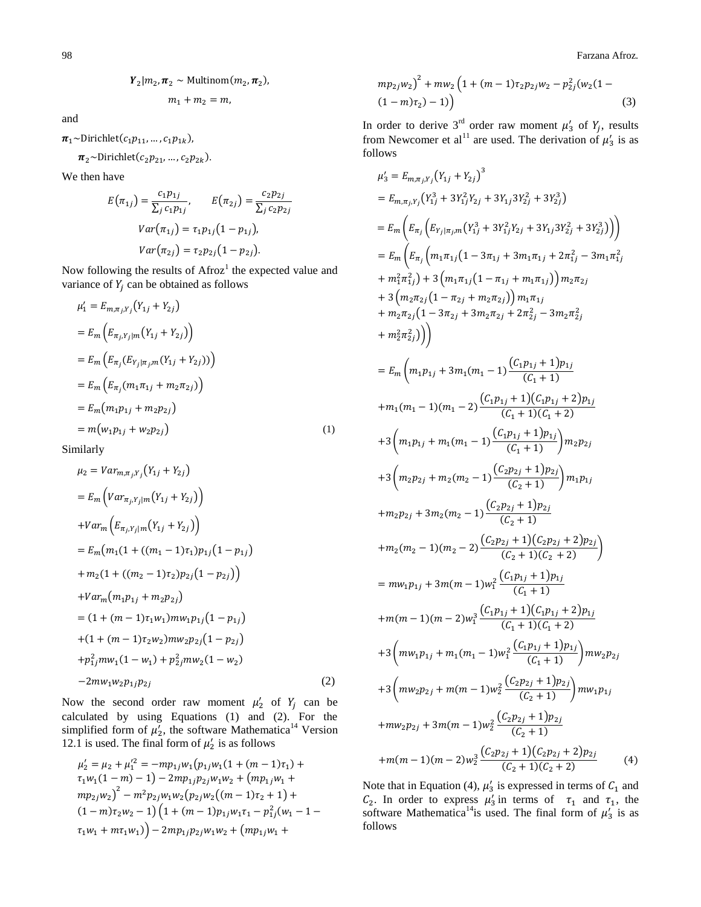$$
Y_2|m_2, \pi_2 \sim \text{Multinom}(m_2, \pi_2),
$$
  

$$
m_1 + m_2 = m,
$$

and

 $\pi_1$ ~Dirichlet( $c_1p_{11},...,c_1p_{1k}$ ),

 $\pi_2$ ~Dirichlet( $c_2p_{21},...,c_2p_{2k}$ ).

We then have

$$
E(\pi_{1j}) = \frac{c_1 p_{1j}}{\sum_j c_1 p_{1j}}, \qquad E(\pi_{2j}) = \frac{c_2 p_{2j}}{\sum_j c_2 p_{2j}}
$$

$$
Var(\pi_{1j}) = \tau_1 p_{1j} (1 - p_{1j}),
$$

$$
Var(\pi_{2j}) = \tau_2 p_{2j} (1 - p_{2j}).
$$

Now following the results of  $A$ froz<sup>1</sup> the expected value and variance of  $Y_i$  can be obtained as follows

$$
\mu'_{1} = E_{m,\pi_{j},Y_{j}}(Y_{1j} + Y_{2j})
$$
  
\n
$$
= E_{m} (E_{\pi_{j},Y_{j}} | m(Y_{1j} + Y_{2j}))
$$
  
\n
$$
= E_{m} (E_{\pi_{j}} (E_{Y_{j}|\pi_{j},m}(Y_{1j} + Y_{2j})))
$$
  
\n
$$
= E_{m} (E_{\pi_{j}} (m_{1}\pi_{1j} + m_{2}\pi_{2j}))
$$
  
\n
$$
= E_{m} (m_{1}p_{1j} + m_{2}p_{2j})
$$
  
\n
$$
= m(w_{1}p_{1j} + w_{2}p_{2j})
$$
  
\n(1)

Similarly

$$
\mu_2 = Var_{m,\pi_j, Y_j}(Y_{1j} + Y_{2j})
$$
  
\n
$$
= E_m \left( Var_{\pi_j, Y_j | m} (Y_{1j} + Y_{2j}) \right)
$$
  
\n
$$
+ Var_m \left( E_{\pi_j, Y_j | m} (Y_{1j} + Y_{2j}) \right)
$$
  
\n
$$
= E_m \left( m_1 (1 + ((m_1 - 1)\tau_1) p_{1j} (1 - p_{1j}) \right)
$$
  
\n
$$
+ m_2 (1 + ((m_2 - 1)\tau_2) p_{2j} (1 - p_{2j}))
$$
  
\n
$$
+ Var_m \left( m_1 p_{1j} + m_2 p_{2j} \right)
$$
  
\n
$$
= (1 + (m - 1)\tau_1 w_1) m w_1 p_{1j} (1 - p_{1j})
$$
  
\n
$$
+ (1 + (m - 1)\tau_2 w_2) m w_2 p_{2j} (1 - p_{2j})
$$
  
\n
$$
+ p_{1j}^2 m w_1 (1 - w_1) + p_{2j}^2 m w_2 (1 - w_2)
$$
  
\n
$$
- 2 m w_1 w_2 p_{1j} p_{2j}
$$
 (2)

Now the second order raw moment  $\mu'_2$  of  $Y_i$  can be calculated by using Equations (1) and (2). For the simplified form of  $\mu'_2$ , the software Mathematica<sup>14</sup> Version 12.1 is used. The final form of  $\mu'_2$  is as follows

$$
\mu'_2 = \mu_2 + \mu'_1{}^2 = -mp_{1j}w_1(p_{1j}w_1(1 + (m - 1)\tau_1) +
$$
  
\n
$$
\tau_1w_1(1 - m) - 1) - 2mp_{1j}p_{2j}w_1w_2 + (mp_{1j}w_1 +
$$
  
\n
$$
mp_{2j}w_2)^2 - m^2p_{2j}w_1w_2(p_{2j}w_2((m - 1)\tau_2 + 1) +
$$
  
\n
$$
(1 - m)\tau_2w_2 - 1)(1 + (m - 1)p_{1j}w_1\tau_1 - p_{1j}^2(w_1 - 1 -
$$
  
\n
$$
\tau_1w_1 + mr_1w_1) - 2mp_{1j}p_{2j}w_1w_2 + (mp_{1j}w_1 +
$$

$$
mp_{2j}w_2)^2 + mw_2 \left(1 + (m-1)\tau_2 p_{2j}w_2 - p_{2j}^2 (w_2(1 - (1-m)\tau_2) - 1)\right)
$$
\n(3)

In order to derive 3<sup>rd</sup> order raw moment  $\mu'_3$  of  $Y_i$ , results from Newcomer et al<sup>11</sup> are used. The derivation of  $\mu'_3$  is as follows

$$
\mu'_{3} = E_{m,\pi_{j}Y_{j}}(Y_{1j} + Y_{2j})^{3}
$$
\n
$$
= E_{m,\pi_{j}Y_{j}}(Y_{1j}^{3} + 3Y_{1j}^{2}Y_{2j} + 3Y_{1j}3Y_{2j}^{2} + 3Y_{2j}^{3})
$$
\n
$$
= E_{m}\left(E_{\pi_{j}}\left(E_{Y_{j}|\pi_{j},m}(Y_{1j}^{3} + 3Y_{1j}^{2}Y_{2j} + 3Y_{1j}3Y_{2j}^{2} + 3Y_{2j}^{3})\right)\right)
$$
\n
$$
= E_{m}\left(E_{\pi_{j}}\left(m_{1}\pi_{1j}\left(1 - 3\pi_{1j} + 3m_{1}\pi_{1j} + 2\pi_{1j}^{2} - 3m_{1}\pi_{1j}^{2}\right) + n_{1}^{2}\pi_{1j}^{2}\right) + 3\left(m_{1}\pi_{1j}\left(1 - \pi_{1j} + m_{1}\pi_{1j}\right)\right)m_{2}\pi_{2j}
$$
\n
$$
+ 3\left(m_{2}\pi_{2j}\left(1 - \pi_{2j} + m_{2}\pi_{2j}\right)\right)m_{1}\pi_{1j}
$$
\n
$$
+ m_{2}\pi_{2j}\left(1 - 3\pi_{2j} + 3m_{2}\pi_{2j} + 2\pi_{2j}^{2} - 3m_{2}\pi_{2j}^{2}\right)
$$
\n
$$
+ 3\left(m_{2}\pi_{2j}\left(1 - 3\pi_{2j} + 3m_{2}\pi_{2j} + 2\pi_{2j}^{2} - 3m_{2}\pi_{2j}^{2}\right)\right)
$$
\n
$$
= E_{m}\left(m_{1}p_{1j} + 3m_{1}(m_{1} - 1)\frac{(C_{1}p_{1j} + 1)p_{1j}}{(C_{1} + 1)}
$$
\n
$$
+ m_{1}(m_{1} - 1)(m_{1} - 2)\frac{(C_{1}p_{1j} + 1)p_{1j}}{(C_{1} + 1)}
$$
\n
$$
+ 3\left(m_{1}p_{1j} + m_{1}(m_{1} - 1)\frac{(C_{1}p_{1j} + 1)p_{1j}}{(C_{1} + 1)}
$$
\n
$$
+ 3
$$

Note that in Equation (4),  $\mu'_3$  is expressed in terms of  $C_1$  and  $C_2$ . In order to express  $\mu'_3$  in terms of  $\tau_1$  and  $\tau_1$ , the software Mathematica<sup>14</sup> is used. The final form of  $\mu'_3$  is as follows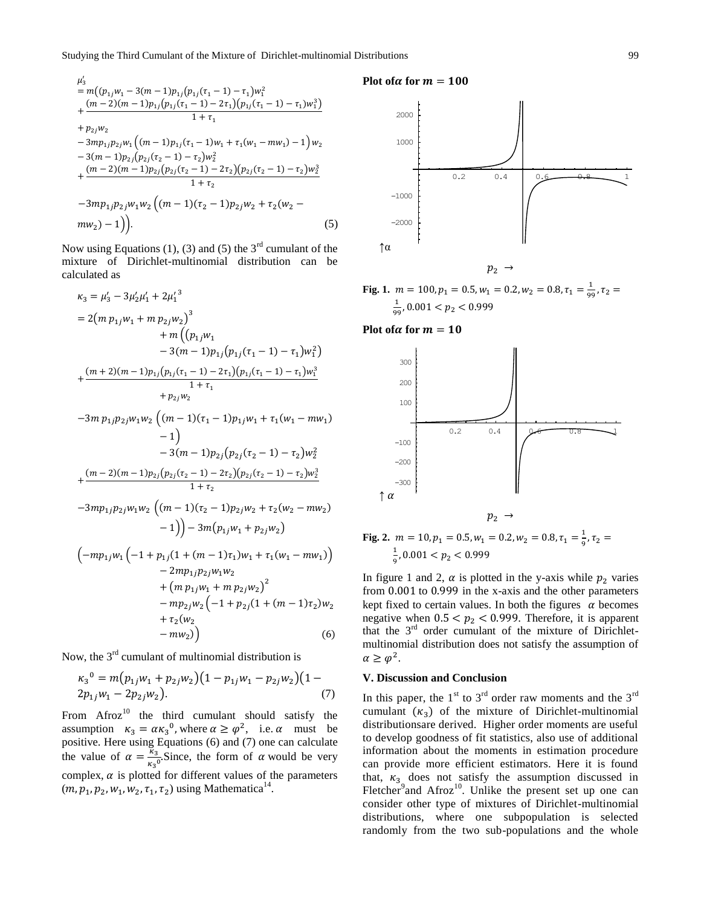$$
\mu'_{3} = m((p_{1j}w_{1} - 3(m - 1)p_{1j}(p_{1j}(\tau_{1} - 1) - \tau_{1})w_{1}^{2} + \frac{(m - 2)(m - 1)p_{1j}(p_{1j}(\tau_{1} - 1) - 2\tau_{1})(p_{1j}(\tau_{1} - 1) - \tau_{1})w_{1}^{3})}{1 + \tau_{1}} + p_{2j}w_{2} - 3mp_{1j}p_{2j}w_{1}((m - 1)p_{1j}(\tau_{1} - 1)w_{1} + \tau_{1}(w_{1} - mw_{1}) - 1)w_{2} - 3(m - 1)p_{2j}(p_{2j}(\tau_{2} - 1) - \tau_{2})w_{2}^{2} + \frac{(m - 2)(m - 1)p_{2j}(p_{2j}(\tau_{2} - 1) - 2\tau_{2})(p_{2j}(\tau_{2} - 1) - \tau_{2})w_{2}^{3}}{1 + \tau_{2}} - 3mp_{1j}p_{2j}w_{1}w_{2}((m - 1)(\tau_{2} - 1)p_{2j}w_{2} + \tau_{2}(w_{2} - mw_{2}) - 1)).
$$
\n(5)

Now using Equations (1), (3) and (5) the  $3<sup>rd</sup>$  cumulant of the mixture of Dirichlet-multinomial distribution can be calculated as

$$
\kappa_3 = \mu'_3 - 3\mu'_2\mu'_1 + 2\mu'_1{}^3
$$
  
\n
$$
= 2(m p_{1j}w_1 + m p_{2j}w_2)^3
$$
  
\n
$$
+ m((p_{1j}w_1
$$
  
\n
$$
- 3(m - 1)p_{1j}(p_{1j}(\tau_1 - 1) - \tau_1)w_1^2)
$$
  
\n
$$
+ \frac{(m + 2)(m - 1)p_{1j}(p_{1j}(\tau_1 - 1) - 2\tau_1)(p_{1j}(\tau_1 - 1) - \tau_1)w_1^3}{1 + \tau_1}
$$
  
\n
$$
+ p_{2j}w_2
$$
  
\n
$$
-3m p_{1j}p_{2j}w_1w_2 ((m - 1)(\tau_1 - 1)p_{1j}w_1 + \tau_1(w_1 - mw_1)
$$
  
\n
$$
- 1)
$$
  
\n
$$
- 3(m - 1)p_{2j}(p_{2j}(\tau_2 - 1) - \tau_2)w_2^2
$$
  
\n
$$
+ \frac{(m - 2)(m - 1)p_{2j}(p_{2j}(\tau_2 - 1) - 2\tau_2)(p_{2j}(\tau_2 - 1) - \tau_2)w_2^3}{1 + \tau_2}
$$
  
\n
$$
-3mp_{1j}p_{2j}w_1w_2 ((m - 1)(\tau_2 - 1)p_{2j}w_2 + \tau_2(w_2 - mw_2)
$$
  
\n
$$
- 1)) - 3m(p_{1j}w_1 + p_{2j}w_2)
$$
  
\n
$$
(-mp_{1j}w_1(-1 + p_{1j}(1 + (m - 1)\tau_1)w_1 + \tau_1(w_1 - mw_1)) - 2mp_{1j}p_{2j}w_1w_2
$$
  
\n
$$
+ (m p_{1j}w_1 + m p_{2j}w_2)^2
$$
  
\n
$$
- \frac{1}{2}\tau_1 + \frac{(m - 1)\tau_1}{1 + \tau_2}w_1w_2 + (m p_{1j}w_1 + m p_{2j}w_2)^2
$$

$$
-mp_{2j}w_2(-1+p_{2j}(1+(m-1)\tau_2)w_2 + \tau_2(w_2 - mw_2))
$$
\n(6)

Now, the  $3<sup>rd</sup>$  cumulant of multinomial distribution is

$$
\kappa_3^0 = m(p_{1j}w_1 + p_{2j}w_2)(1 - p_{1j}w_1 - p_{2j}w_2)(1 - p_{1j}w_1 - 2p_{2j}w_2).
$$
\n(7)

From  $A$ froz $^{10}$  the third cumulant should satisfy the assumption  $\kappa_3 = \alpha \kappa_3^0$ , where  $\alpha \ge \varphi^2$ , i.e.  $\alpha$  must be positive. Here using Equations (6) and (7) one can calculate the value of  $\alpha = \frac{k}{\pi}$  $\frac{\kappa_3}{\kappa_3}$ Since, the form of  $\alpha$  would be very complex,  $\alpha$  is plotted for different values of the parameters  $(m, p_1, p_2, w_1, w_2, \tau_1, \tau_2)$  using Mathematica<sup>14</sup>.

#### **Plot of** $\alpha$  for  $m = 100$



**Fig. 1.**  $m = 100, p_1 = 0.5, w_1 = 0.2, w_2 = 0.8, \tau_1 = \frac{1}{20}$  $\frac{1}{99}$ ,  $\mathbf{1}$  $\frac{1}{99}$ ,

**Plot of** $\alpha$  for  $m = 10$ 





In figure 1 and 2,  $\alpha$  is plotted in the y-axis while  $p_2$  varies from  $0.001$  to  $0.999$  in the x-axis and the other parameters kept fixed to certain values. In both the figures  $\alpha$  becomes negative when  $0.5 < p_2 < 0.999$ . Therefore, it is apparent that the 3<sup>rd</sup> order cumulant of the mixture of Dirichletmultinomial distribution does not satisfy the assumption of  $\alpha \geq \varphi^2$ .

### **V. Discussion and Conclusion**

In this paper, the  $1<sup>st</sup>$  to  $3<sup>rd</sup>$  order raw moments and the  $3<sup>rd</sup>$ cumulant  $(\kappa_3)$  of the mixture of Dirichlet-multinomial distributionsare derived. Higher order moments are useful to develop goodness of fit statistics, also use of additional information about the moments in estimation procedure can provide more efficient estimators. Here it is found that,  $\kappa_{3}$  does not satisfy the assumption discussed in Fletcher<sup>9</sup> and Afroz<sup>10</sup>. Unlike the present set up one can consider other type of mixtures of Dirichlet-multinomial distributions, where one subpopulation is selected randomly from the two sub-populations and the whole